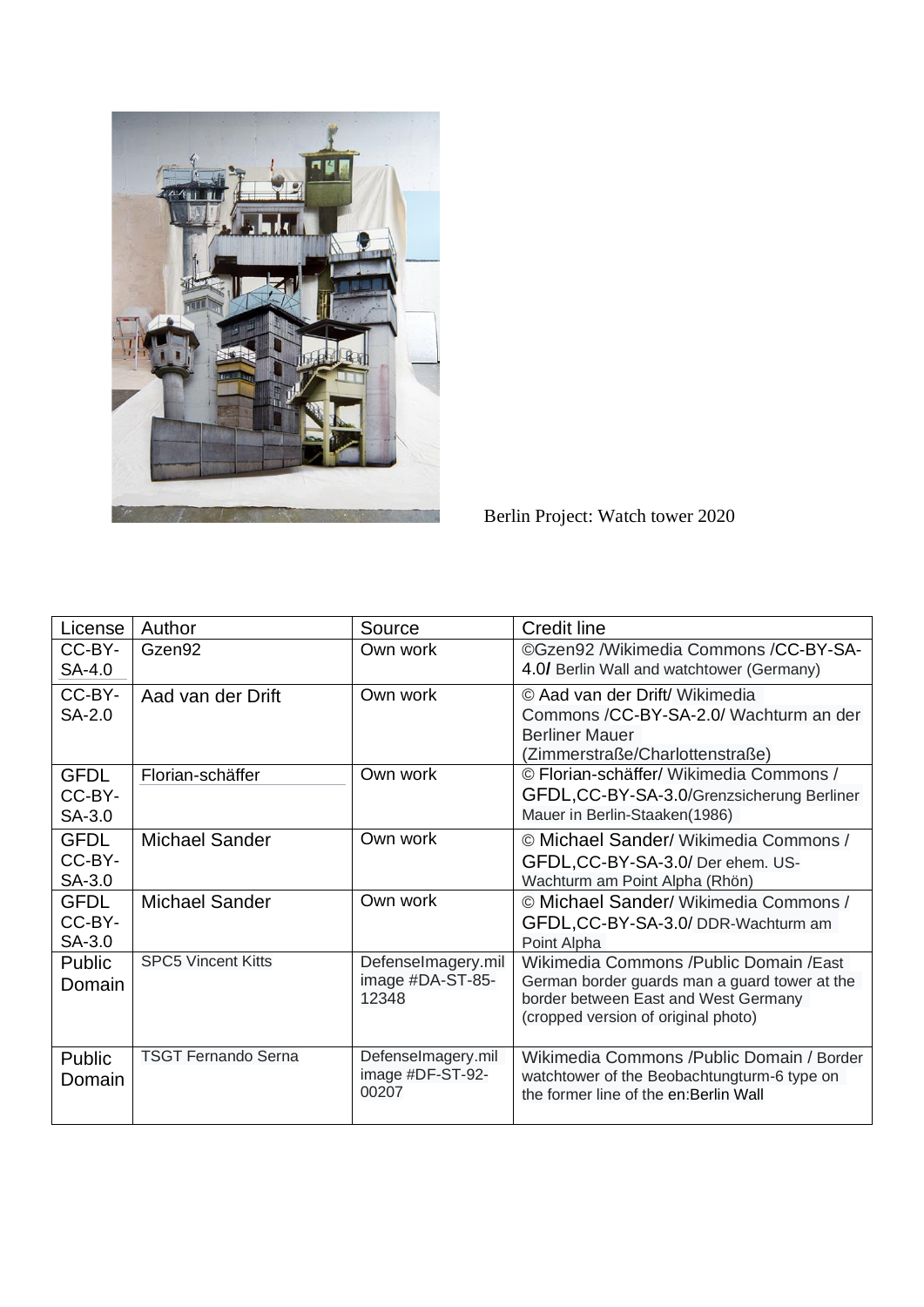

Berlin Project: Watch tower 2020

| License                         | Author                     | Source                                          | <b>Credit line</b>                                                                                                                                                       |
|---------------------------------|----------------------------|-------------------------------------------------|--------------------------------------------------------------------------------------------------------------------------------------------------------------------------|
| CC-BY-<br>SA-4.0                | Gzen <sub>92</sub>         | Own work                                        | ©Gzen92 /Wikimedia Commons /CC-BY-SA-<br>4.0/ Berlin Wall and watchtower (Germany)                                                                                       |
| CC-BY-<br>SA-2.0                | Aad van der Drift          | Own work                                        | © Aad van der Drift/ Wikimedia<br>Commons /CC-BY-SA-2.0/ Wachturm an der<br><b>Berliner Mauer</b><br>(Zimmerstraße/Charlottenstraße)                                     |
| <b>GFDL</b><br>CC-BY-<br>SA-3.0 | Florian-schäffer           | Own work                                        | © Florian-schäffer/ Wikimedia Commons /<br>GFDL, CC-BY-SA-3.0/Grenzsicherung Berliner<br>Mauer in Berlin-Staaken(1986)                                                   |
| <b>GFDL</b><br>CC-BY-<br>SA-3.0 | <b>Michael Sander</b>      | Own work                                        | © Michael Sander/ Wikimedia Commons /<br>GFDL, CC-BY-SA-3.0/ Der ehem. US-<br>Wachturm am Point Alpha (Rhön)                                                             |
| <b>GFDL</b><br>CC-BY-<br>SA-3.0 | <b>Michael Sander</b>      | Own work                                        | © Michael Sander/ Wikimedia Commons /<br>GFDL,CC-BY-SA-3.0/ DDR-Wachturm am<br>Point Alpha                                                                               |
| <b>Public</b><br>Domain         | <b>SPC5 Vincent Kitts</b>  | Defenselmagery.mil<br>image #DA-ST-85-<br>12348 | Wikimedia Commons / Public Domain / East<br>German border guards man a guard tower at the<br>border between East and West Germany<br>(cropped version of original photo) |
| Public<br>Domain                | <b>TSGT Fernando Serna</b> | Defenselmagery.mil<br>image #DF-ST-92-<br>00207 | Wikimedia Commons / Public Domain / Border<br>watchtower of the Beobachtungturm-6 type on<br>the former line of the en: Berlin Wall                                      |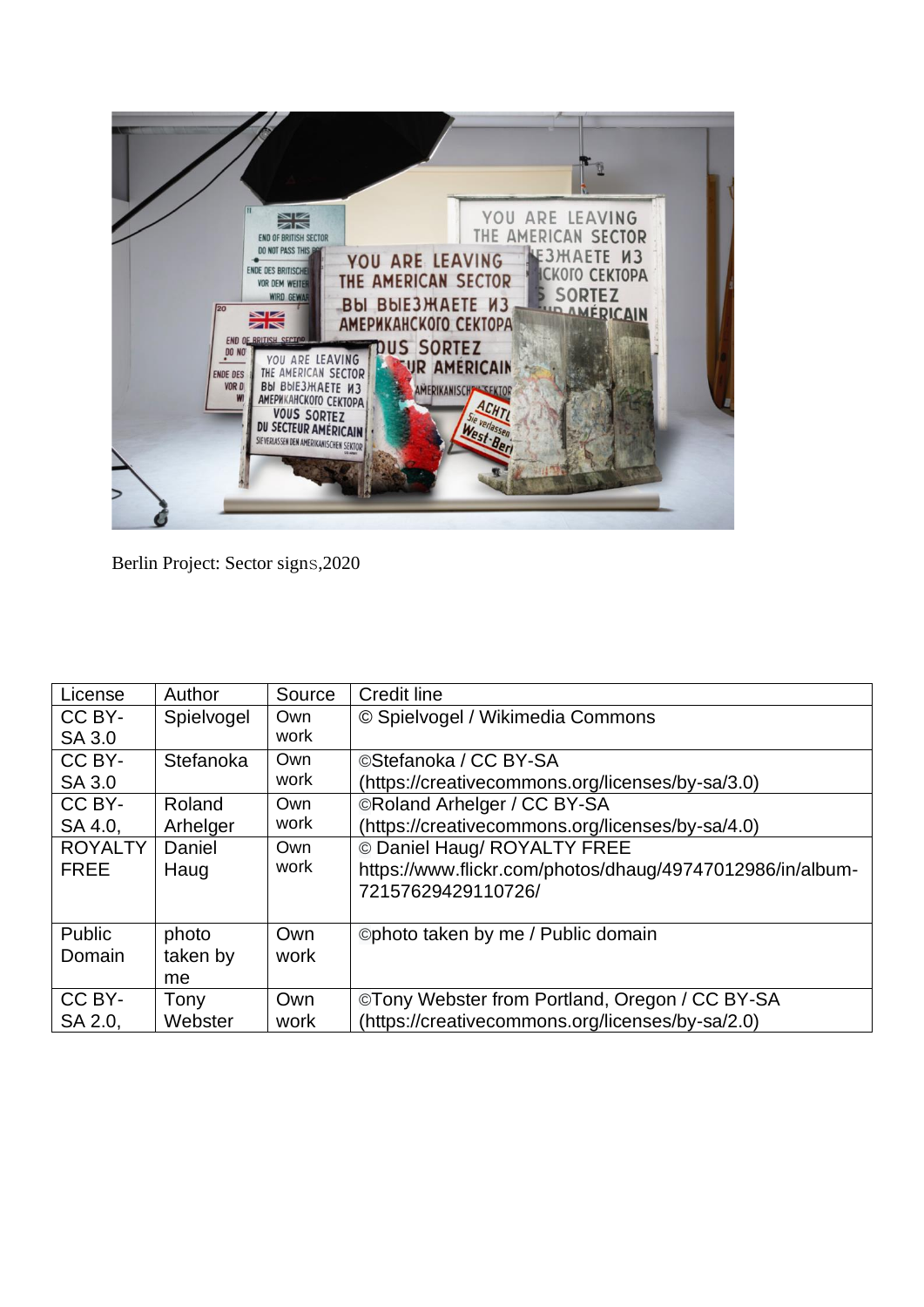

Berlin Project: Sector signs,2020

| License        | Author     | Source | <b>Credit line</b>                                        |
|----------------|------------|--------|-----------------------------------------------------------|
| CC BY-         | Spielvogel | Own    | © Spielvogel / Wikimedia Commons                          |
| SA 3.0         |            | work   |                                                           |
| CC BY-         | Stefanoka  | Own    | ©Stefanoka / CC BY-SA                                     |
| SA 3.0         |            | work   | (https://creativecommons.org/licenses/by-sa/3.0)          |
| CC BY-         | Roland     | Own    | ©Roland Arhelger / CC BY-SA                               |
| SA 4.0,        | Arhelger   | work   | (https://creativecommons.org/licenses/by-sa/4.0)          |
| <b>ROYALTY</b> | Daniel     | Own    | © Daniel Haug/ ROYALTY FREE                               |
| <b>FREE</b>    | Haug       | work   | https://www.flickr.com/photos/dhaug/49747012986/in/album- |
|                |            |        | 72157629429110726/                                        |
|                |            |        |                                                           |
| Public         | photo      | Own    | ©photo taken by me / Public domain                        |
| Domain         | taken by   | work   |                                                           |
|                | me.        |        |                                                           |
| CC BY-         | Tony       | Own    | ©Tony Webster from Portland, Oregon / CC BY-SA            |
| SA 2.0.        | Webster    | work   | (https://creativecommons.org/licenses/by-sa/2.0)          |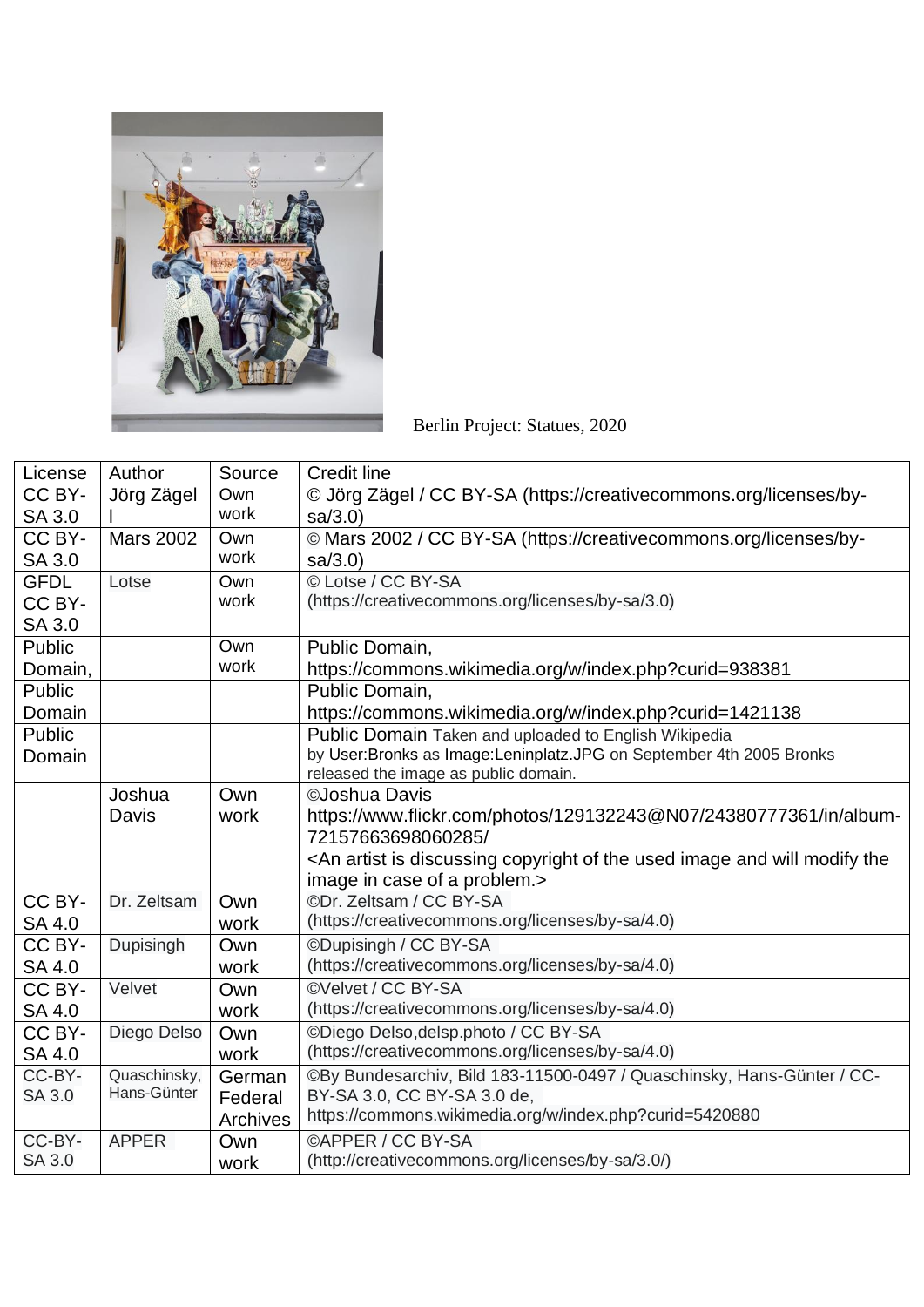

Berlin Project: Statues, 2020

| License<br>Source<br><b>Credit line</b><br>Author                                                                                  |  |
|------------------------------------------------------------------------------------------------------------------------------------|--|
| CC BY-<br>© Jörg Zägel / CC BY-SA (https://creativecommons.org/licenses/by-<br>Jörg Zägel<br>Own                                   |  |
| work<br>SA 3.0<br>sa/3.0                                                                                                           |  |
| © Mars 2002 / CC BY-SA (https://creativecommons.org/licenses/by-<br>CC BY-<br><b>Mars 2002</b><br>Own                              |  |
| work<br><b>SA 3.0</b><br>sa/3.0                                                                                                    |  |
| © Lotse / CC BY-SA<br><b>GFDL</b><br>Own<br>Lotse                                                                                  |  |
| (https://creativecommons.org/licenses/by-sa/3.0)<br>work<br>CC BY-                                                                 |  |
| SA 3.0                                                                                                                             |  |
| Own<br>Public<br>Public Domain,                                                                                                    |  |
| work<br>https://commons.wikimedia.org/w/index.php?curid=938381<br>Domain,                                                          |  |
| Public<br>Public Domain,                                                                                                           |  |
| Domain<br>https://commons.wikimedia.org/w/index.php?curid=1421138                                                                  |  |
| Public<br>Public Domain Taken and uploaded to English Wikipedia                                                                    |  |
| by User:Bronks as Image:Leninplatz.JPG on September 4th 2005 Bronks<br>Domain                                                      |  |
| released the image as public domain.                                                                                               |  |
| Own<br>©Joshua Davis<br>Joshua                                                                                                     |  |
| https://www.flickr.com/photos/129132243@N07/24380777361/in/album-<br>Davis<br>work                                                 |  |
| 72157663698060285/                                                                                                                 |  |
| <an and="" artist="" copyright="" discussing="" image="" is="" modify="" of="" td="" the="" the<="" used="" will=""><td></td></an> |  |
| image in case of a problem.>                                                                                                       |  |
| CC BY-<br>©Dr. Zeltsam / CC BY-SA<br>Dr. Zeltsam<br>Own                                                                            |  |
| (https://creativecommons.org/licenses/by-sa/4.0)<br>SA 4.0<br>work                                                                 |  |
| ©Dupisingh / CC BY-SA<br>CC BY-<br>Dupisingh<br>Own                                                                                |  |
| (https://creativecommons.org/licenses/by-sa/4.0)<br>SA 4.0<br>work                                                                 |  |
| @Velvet / CC BY-SA<br>CC BY-<br>Velvet<br>Own                                                                                      |  |
| (https://creativecommons.org/licenses/by-sa/4.0)<br>SA 4.0<br>work                                                                 |  |
| CC BY-<br>©Diego Delso, delsp.photo / CC BY-SA<br>Diego Delso<br>Own                                                               |  |
| (https://creativecommons.org/licenses/by-sa/4.0)<br>SA 4.0<br>work                                                                 |  |
| CC-BY-<br>Quaschinsky,<br>©By Bundesarchiv, Bild 183-11500-0497 / Quaschinsky, Hans-Günter / CC-<br>German                         |  |
| Hans-Günter<br><b>SA 3.0</b><br>BY-SA 3.0, CC BY-SA 3.0 de,<br>Federal                                                             |  |
| https://commons.wikimedia.org/w/index.php?curid=5420880<br>Archives                                                                |  |
| CC-BY-<br><b>©APPER / CC BY-SA</b><br><b>APPER</b><br>Own                                                                          |  |
| <b>SA 3.0</b><br>(http://creativecommons.org/licenses/by-sa/3.0/)<br>work                                                          |  |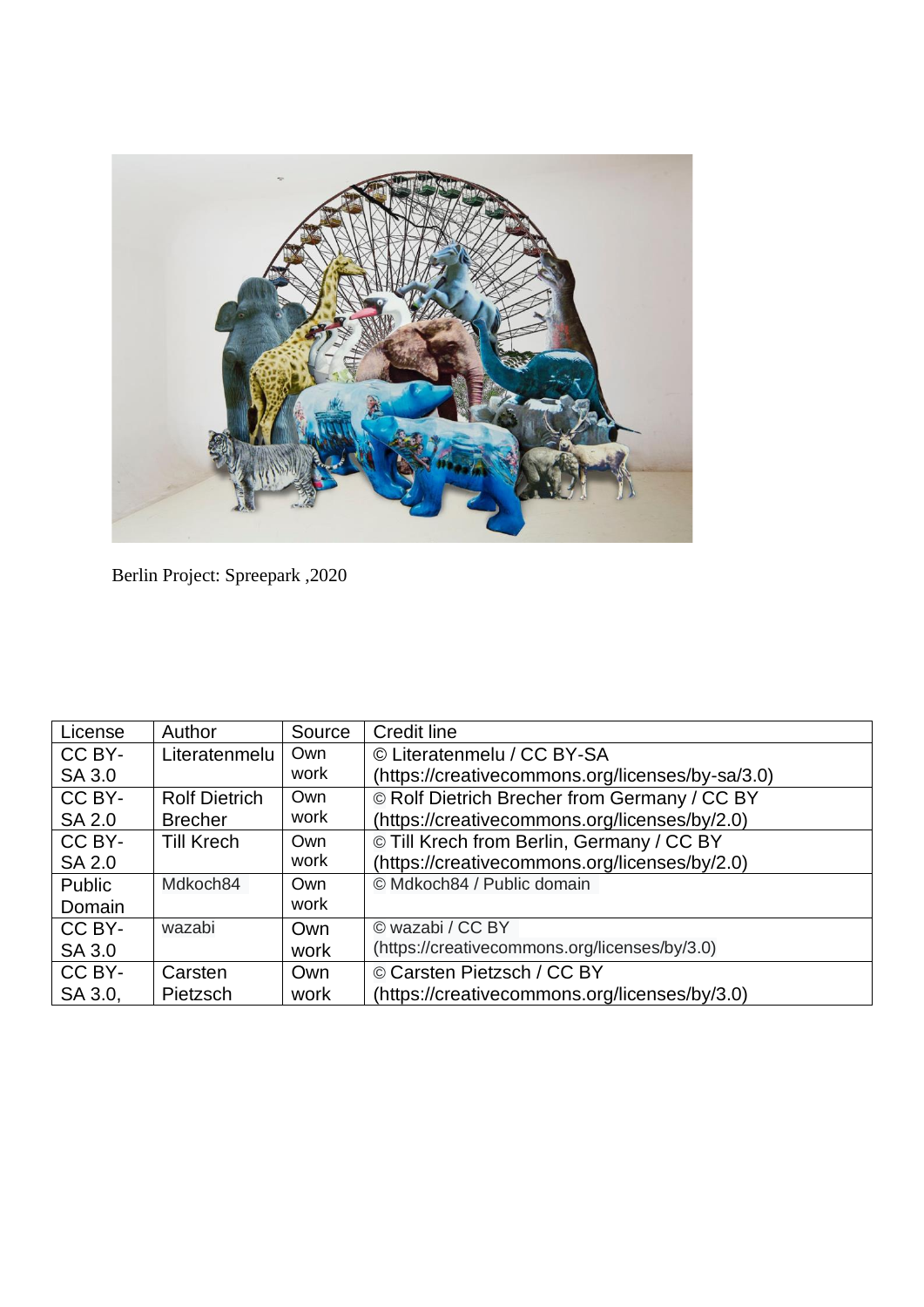

Berlin Project: Spreepark ,2020

| License       | Author               | Source | <b>Credit line</b>                               |
|---------------|----------------------|--------|--------------------------------------------------|
| CC BY-        | Literatenmelu        | Own    | © Literatenmelu / CC BY-SA                       |
| SA 3.0        |                      | work   | (https://creativecommons.org/licenses/by-sa/3.0) |
| CC BY-        | <b>Rolf Dietrich</b> | Own    | © Rolf Dietrich Brecher from Germany / CC BY     |
| SA 2.0        | <b>Brecher</b>       | work   | (https://creativecommons.org/licenses/by/2.0)    |
| CC BY-        | <b>Till Krech</b>    | Own    | © Till Krech from Berlin, Germany / CC BY        |
| <b>SA 2.0</b> |                      | work   | (https://creativecommons.org/licenses/by/2.0)    |
| Public        | Mdkoch84             | Own    | © Mdkoch84 / Public domain                       |
| Domain        |                      | work   |                                                  |
| CC BY-        | wazabi               | Own    | © wazabi / CC BY                                 |
| SA 3.0        |                      | work   | (https://creativecommons.org/licenses/by/3.0)    |
| CC BY-        | Carsten              | Own    | © Carsten Pietzsch / CC BY                       |
| SA 3.0,       | <b>Pietzsch</b>      | work   | (https://creativecommons.org/licenses/by/3.0)    |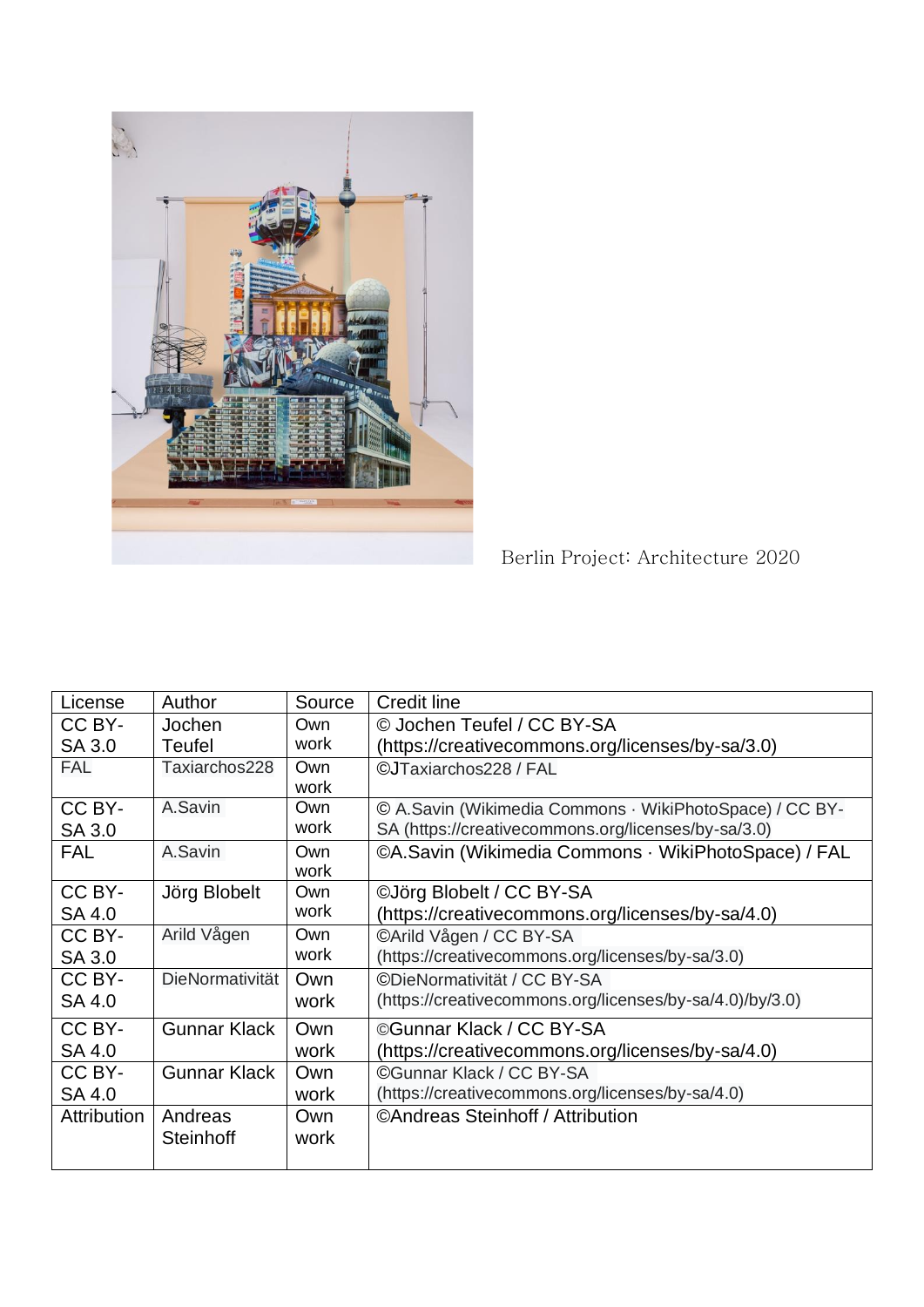

Berlin Project: Architecture 2020

| Author              | Source | <b>Credit line</b>                                       |
|---------------------|--------|----------------------------------------------------------|
| Jochen              | Own    | © Jochen Teufel / CC BY-SA                               |
| <b>Teufel</b>       | work   | (https://creativecommons.org/licenses/by-sa/3.0)         |
| Taxiarchos228       | Own    | ©JTaxiarchos228 / FAL                                    |
|                     | work   |                                                          |
| A.Savin             | Own    | © A.Savin (Wikimedia Commons · WikiPhotoSpace) / CC BY-  |
|                     | work   | SA (https://creativecommons.org/licenses/by-sa/3.0)      |
| A.Savin             | Own    | ©A.Savin (Wikimedia Commons · WikiPhotoSpace) / FAL      |
|                     | work   |                                                          |
| Jörg Blobelt        | Own    | ©Jörg Blobelt / CC BY-SA                                 |
|                     | work   | (https://creativecommons.org/licenses/by-sa/4.0)         |
| Arild Vågen         | Own    | CArild Vågen / CC BY-SA                                  |
|                     | work   | (https://creativecommons.org/licenses/by-sa/3.0)         |
| DieNormativität     | Own    | ©DieNormativität / CC BY-SA                              |
|                     | work   | (https://creativecommons.org/licenses/by-sa/4.0)/by/3.0) |
| <b>Gunnar Klack</b> | Own    | ©Gunnar Klack / CC BY-SA                                 |
|                     | work   | (https://creativecommons.org/licenses/by-sa/4.0)         |
| <b>Gunnar Klack</b> | Own    | CGunnar Klack / CC BY-SA                                 |
|                     | work   | (https://creativecommons.org/licenses/by-sa/4.0)         |
| Andreas             | Own    | ©Andreas Steinhoff / Attribution                         |
| <b>Steinhoff</b>    | work   |                                                          |
|                     |        |                                                          |
|                     |        |                                                          |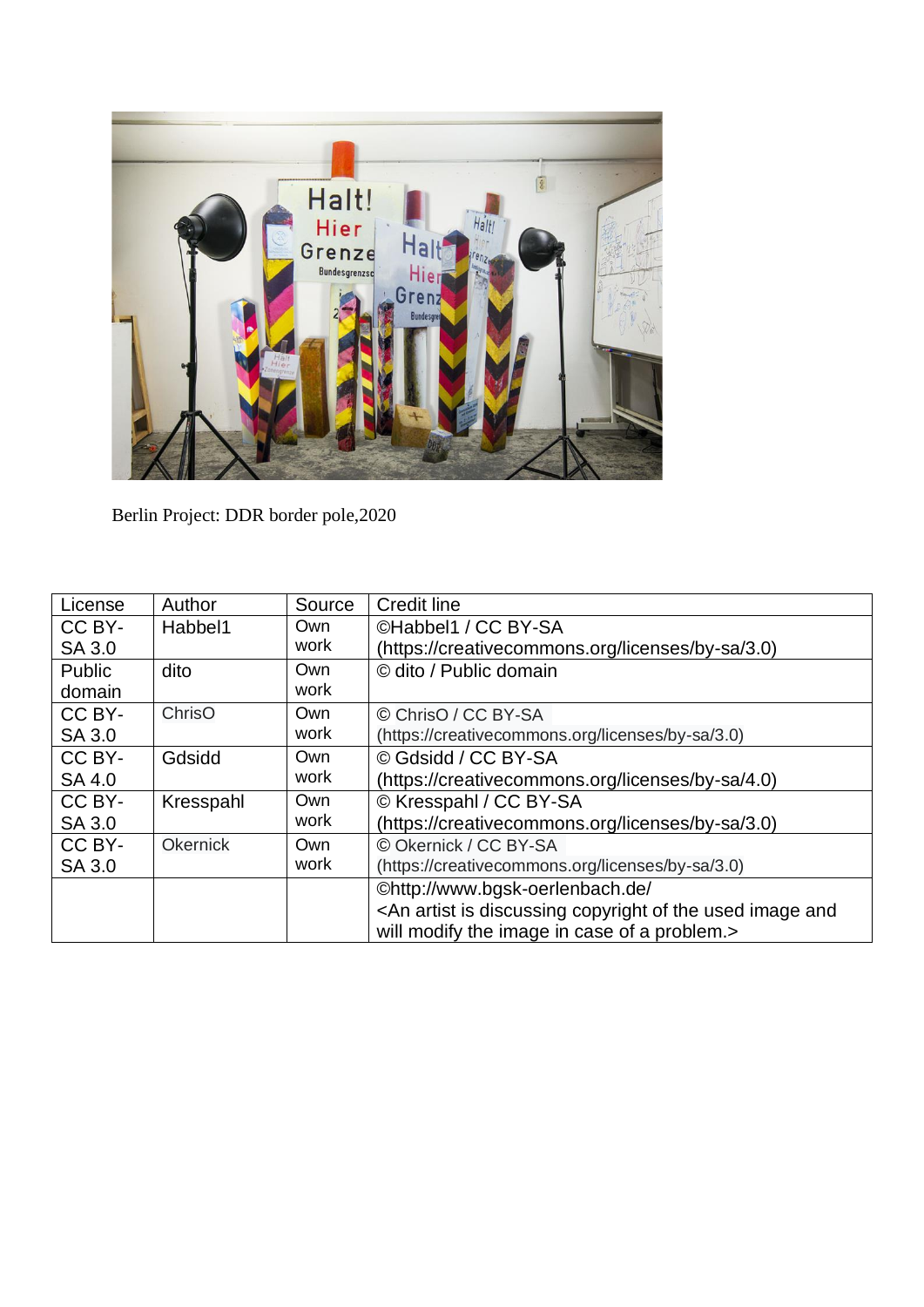

Berlin Project: DDR border pole,2020

| License | Author          | Source | <b>Credit line</b>                                                                               |
|---------|-----------------|--------|--------------------------------------------------------------------------------------------------|
| CC BY-  | Habbel1         | Own    | CHabbel1 / CC BY-SA                                                                              |
| SA 3.0  |                 | work   | (https://creativecommons.org/licenses/by-sa/3.0)                                                 |
| Public  | dito            | Own    | © dito / Public domain                                                                           |
| domain  |                 | work   |                                                                                                  |
| CC BY-  | ChrisO          | Own    | © ChrisO / CC BY-SA                                                                              |
| SA 3.0  |                 | work   | (https://creativecommons.org/licenses/by-sa/3.0)                                                 |
| CC BY-  | Gdsidd          | Own    | © Gdsidd / CC BY-SA                                                                              |
| SA 4.0  |                 | work   | (https://creativecommons.org/licenses/by-sa/4.0)                                                 |
| CC BY-  | Kresspahl       | Own    | © Kresspahl / CC BY-SA                                                                           |
| SA 3.0  |                 | work   | (https://creativecommons.org/licenses/by-sa/3.0)                                                 |
| CC BY-  | <b>Okernick</b> | Own    | © Okernick / CC BY-SA                                                                            |
| SA 3.0  |                 | work   | (https://creativecommons.org/licenses/by-sa/3.0)                                                 |
|         |                 |        | ©http://www.bgsk-oerlenbach.de/                                                                  |
|         |                 |        | <an and<="" artist="" copyright="" discussing="" image="" is="" of="" td="" the="" used=""></an> |
|         |                 |        | will modify the image in case of a problem.>                                                     |